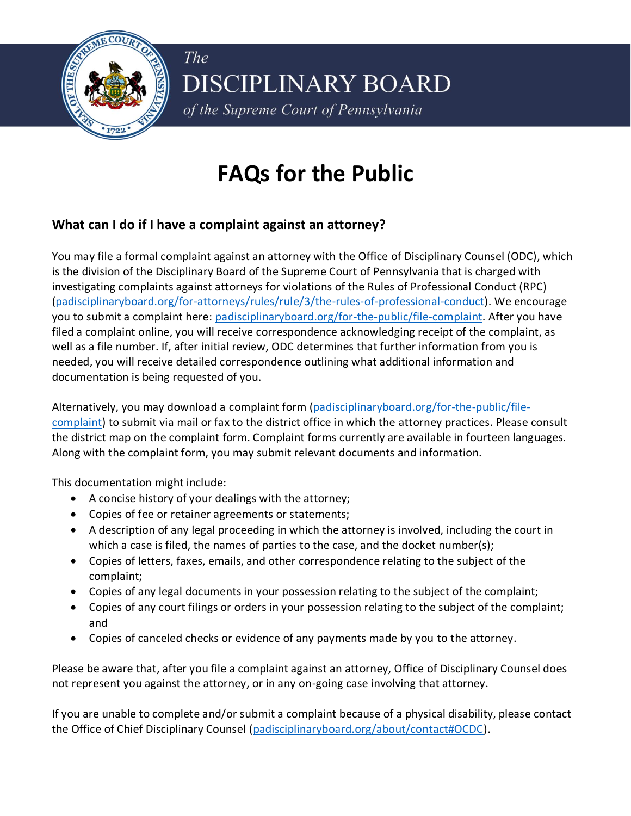

**DISCIPLINARY BOARD** of the Supreme Court of Pennsylvania

# **FAQs for the Public**

## **What can I do if I have a complaint against an attorney?**

The

You may file a formal complaint against an attorney with the Office of Disciplinary Counsel (ODC), which is the division of the Disciplinary Board of the Supreme Court of Pennsylvania that is charged with investigating complaints against attorneys for violations of the Rules of Professional Conduct (RPC) [\(padisciplinaryboard.org/for-attorneys/rules/rule/3/the-rules-of-professional-conduct\)](https://www.padisciplinaryboard.org/for-attorneys/rules/rule/3/the-rules-of-professional-conduct). We encourage you to submit a complaint here: [padisciplinaryboard.org/for-the-public/file-complaint.](https://www.padisciplinaryboard.org/for-the-public/file-complaint) After you have filed a complaint online, you will receive correspondence acknowledging receipt of the complaint, as well as a file number. If, after initial review, ODC determines that further information from you is needed, you will receive detailed correspondence outlining what additional information and documentation is being requested of you.

Alternatively, you may download a complaint form [\(padisciplinaryboard.org/for-the-public/file](https://www.padisciplinaryboard.org/for-the-public/file-complaint)[complaint\)](https://www.padisciplinaryboard.org/for-the-public/file-complaint) to submit via mail or fax to the district office in which the attorney practices. Please consult the district map on the complaint form. Complaint forms currently are available in fourteen languages. Along with the complaint form, you may submit relevant documents and information.

This documentation might include:

- A concise history of your dealings with the attorney;
- Copies of fee or retainer agreements or statements;
- A description of any legal proceeding in which the attorney is involved, including the court in which a case is filed, the names of parties to the case, and the docket number(s);
- Copies of letters, faxes, emails, and other correspondence relating to the subject of the complaint;
- Copies of any legal documents in your possession relating to the subject of the complaint;
- Copies of any court filings or orders in your possession relating to the subject of the complaint; and
- Copies of canceled checks or evidence of any payments made by you to the attorney.

Please be aware that, after you file a complaint against an attorney, Office of Disciplinary Counsel does not represent you against the attorney, or in any on-going case involving that attorney.

If you are unable to complete and/or submit a complaint because of a physical disability, please contact the Office of Chief Disciplinary Counsel [\(padisciplinaryboard.org/about/contact#OCDC\)](https://www.padisciplinaryboard.org/about/contact#OCDC).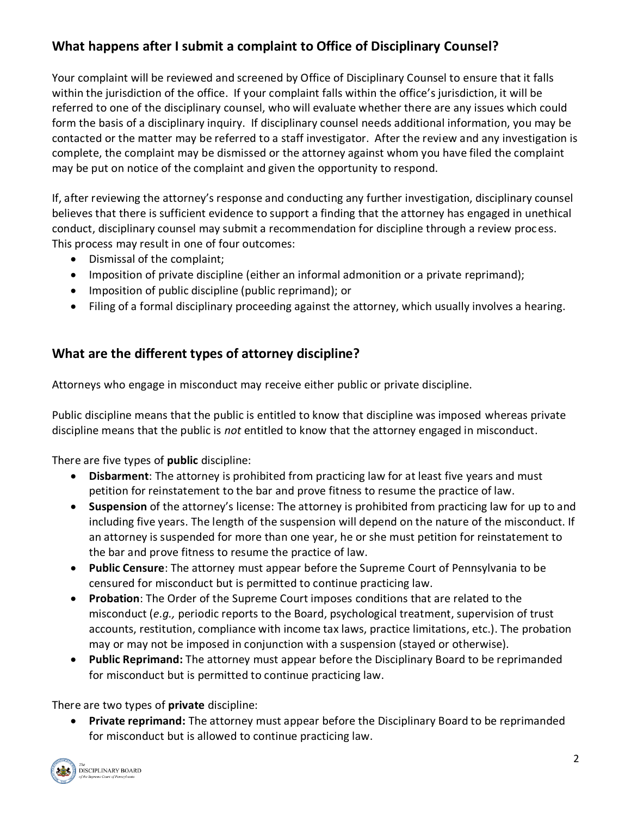# **What happens after I submit a complaint to Office of Disciplinary Counsel?**

Your complaint will be reviewed and screened by Office of Disciplinary Counsel to ensure that it falls within the jurisdiction of the office. If your complaint falls within the office's jurisdiction, it will be referred to one of the disciplinary counsel, who will evaluate whether there are any issues which could form the basis of a disciplinary inquiry. If disciplinary counsel needs additional information, you may be contacted or the matter may be referred to a staff investigator. After the review and any investigation is complete, the complaint may be dismissed or the attorney against whom you have filed the complaint may be put on notice of the complaint and given the opportunity to respond.

If, after reviewing the attorney's response and conducting any further investigation, disciplinary counsel believes that there is sufficient evidence to support a finding that the attorney has engaged in unethical conduct, disciplinary counsel may submit a recommendation for discipline through a review process. This process may result in one of four outcomes:

- Dismissal of the complaint;
- Imposition of private discipline (either an informal admonition or a private reprimand);
- Imposition of public discipline (public reprimand); or
- Filing of a formal disciplinary proceeding against the attorney, which usually involves a hearing.

#### **What are the different types of attorney discipline?**

Attorneys who engage in misconduct may receive either public or private discipline.

Public discipline means that the public is entitled to know that discipline was imposed whereas private discipline means that the public is *not* entitled to know that the attorney engaged in misconduct.

There are five types of **public** discipline:

- **Disbarment**: The attorney is prohibited from practicing law for at least five years and must petition for reinstatement to the bar and prove fitness to resume the practice of law.
- **Suspension** of the attorney's license: The attorney is prohibited from practicing law for up to and including five years. The length of the suspension will depend on the nature of the misconduct. If an attorney is suspended for more than one year, he or she must petition for reinstatement to the bar and prove fitness to resume the practice of law.
- **Public Censure**: The attorney must appear before the Supreme Court of Pennsylvania to be censured for misconduct but is permitted to continue practicing law.
- **Probation**: The Order of the Supreme Court imposes conditions that are related to the misconduct (*e.g.,* periodic reports to the Board, psychological treatment, supervision of trust accounts, restitution, compliance with income tax laws, practice limitations, etc.). The probation may or may not be imposed in conjunction with a suspension (stayed or otherwise).
- **Public Reprimand:** The attorney must appear before the Disciplinary Board to be reprimanded for misconduct but is permitted to continue practicing law.

There are two types of **private** discipline:

• **Private reprimand:** The attorney must appear before the Disciplinary Board to be reprimanded for misconduct but is allowed to continue practicing law.

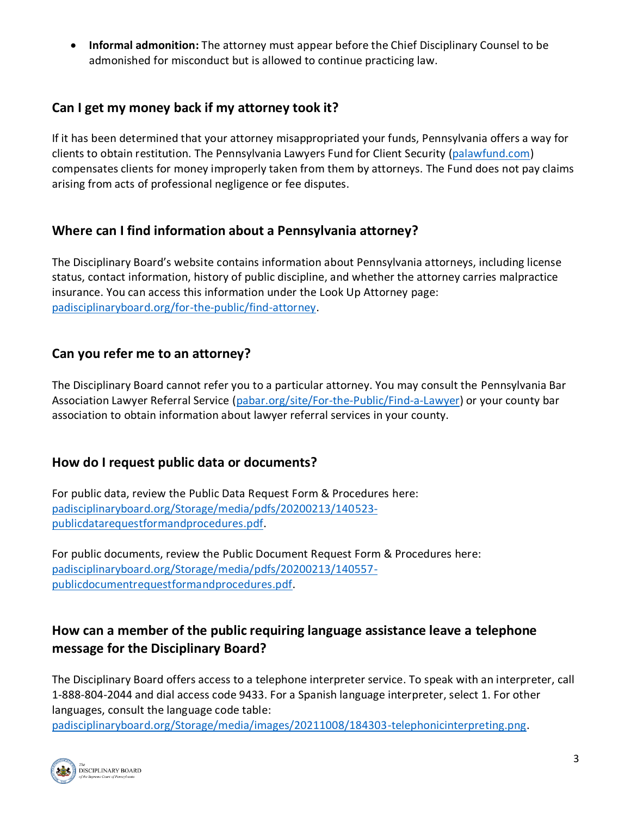• **Informal admonition:** The attorney must appear before the Chief Disciplinary Counsel to be admonished for misconduct but is allowed to continue practicing law.

#### **Can I get my money back if my attorney took it?**

If it has been determined that your attorney misappropriated your funds, Pennsylvania offers a way for clients to obtain restitution. The Pennsylvania Lawyers Fund for Client Security [\(palawfund.com\)](https://palawfund.com/) compensates clients for money improperly taken from them by attorneys. The Fund does not pay claims arising from acts of professional negligence or fee disputes.

#### **Where can I find information about a Pennsylvania attorney?**

The Disciplinary Board's website contains information about Pennsylvania attorneys, including license status, contact information, history of public discipline, and whether the attorney carries malpractice insurance. You can access this information under the Look Up Attorney page: [padisciplinaryboard.org/for-the-public/find-attorney.](https://www.padisciplinaryboard.org/for-the-public/find-attorney)

#### **Can you refer me to an attorney?**

The Disciplinary Board cannot refer you to a particular attorney. You may consult the Pennsylvania Bar Association Lawyer Referral Service [\(pabar.org/site/For-the-Public/Find-a-Lawyer\)](https://www.pabar.org/site/For-the-Public/Find-a-Lawyer) or your county bar association to obtain information about lawyer referral services in your county.

#### **How do I request public data or documents?**

For public data, review the Public Data Request Form & Procedures here: [padisciplinaryboard.org/Storage/media/pdfs/20200213/140523](https://www.padisciplinaryboard.org/Storage/media/pdfs/20200213/140523-publicdatarequestformandprocedures.pdf) [publicdatarequestformandprocedures.pdf.](https://www.padisciplinaryboard.org/Storage/media/pdfs/20200213/140523-publicdatarequestformandprocedures.pdf)

For public documents, review the Public Document Request Form & Procedures here: [padisciplinaryboard.org/Storage/media/pdfs/20200213/140557](https://www.padisciplinaryboard.org/Storage/media/pdfs/20200213/140557-publicdocumentrequestformandprocedures.pdf) [publicdocumentrequestformandprocedures.pdf.](https://www.padisciplinaryboard.org/Storage/media/pdfs/20200213/140557-publicdocumentrequestformandprocedures.pdf)

## **How can a member of the public requiring language assistance leave a telephone message for the Disciplinary Board?**

The Disciplinary Board offers access to a telephone interpreter service. To speak with an interpreter, call 1-888-804-2044 and dial access code 9433. For a Spanish language interpreter, select 1. For other languages, consult the language code table:

[padisciplinaryboard.org/Storage/media/images/20211008/184303-telephonicinterpreting.png.](https://www.padisciplinaryboard.org/Storage/media/images/20211008/184303-telephonicinterpreting.png)